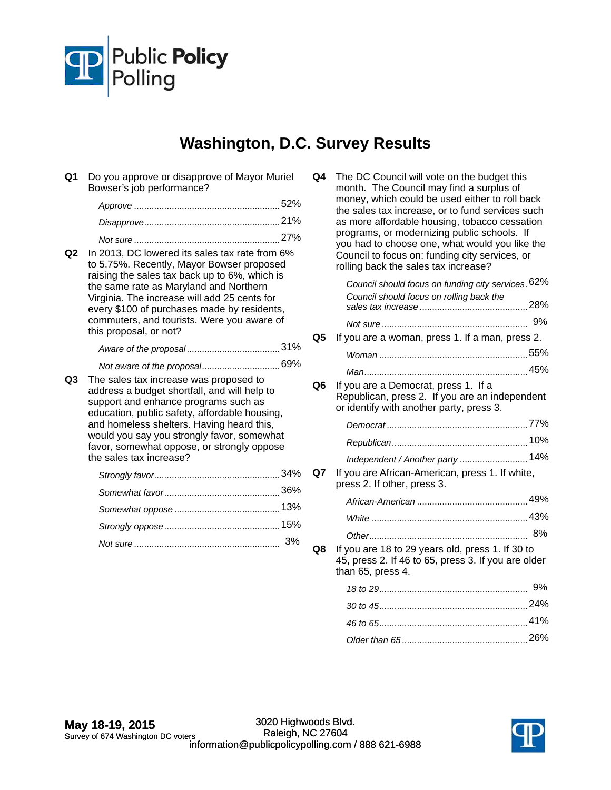

## **Washington, D.C. Survey Results**

**Q1** Do you approve or disapprove of Mayor Muriel Bowser's job performance?

| 52% |
|-----|
|     |
|     |

**Q2** In 2013, DC lowered its sales tax rate from 6% to 5.75%. Recently, Mayor Bowser proposed raising the sales tax back up to 6%, which is the same rate as Maryland and Northern Virginia. The increase will add 25 cents for every \$100 of purchases made by residents, commuters, and tourists. Were you aware of this proposal, or not?

|  |  | 31% |
|--|--|-----|
|--|--|-----|

## *Not aware of the proposal...................................*69%

**Q3** The sales tax increase was proposed to address a budget shortfall, and will help to support and enhance programs such as education, public safety, affordable housing, and homeless shelters. Having heard this, would you say you strongly favor, somewhat favor, somewhat oppose, or strongly oppose the sales tax increase?

**Q4** The DC Council will vote on the budget this month. The Council may find a surplus of money, which could be used either to roll back the sales tax increase, or to fund services such as more affordable housing, tobacco cessation programs, or modernizing public schools. If you had to choose one, what would you like the Council to focus on: funding city services, or rolling back the sales tax increase?

|    | Council should focus on funding city services. 62%                                                                                 |  |
|----|------------------------------------------------------------------------------------------------------------------------------------|--|
|    | Council should focus on rolling back the                                                                                           |  |
|    |                                                                                                                                    |  |
| Q5 | If you are a woman, press 1. If a man, press 2.                                                                                    |  |
|    |                                                                                                                                    |  |
|    |                                                                                                                                    |  |
| Q6 | If you are a Democrat, press 1. If a<br>Republican, press 2. If you are an independent<br>or identify with another party, press 3. |  |
|    |                                                                                                                                    |  |
|    |                                                                                                                                    |  |
|    | Independent / Another party  14%                                                                                                   |  |
| Q7 | If you are African-American, press 1. If white,<br>press 2. If other, press 3.                                                     |  |
|    |                                                                                                                                    |  |
|    |                                                                                                                                    |  |
|    |                                                                                                                                    |  |
| Q8 | If you are 18 to 29 years old, press 1. If 30 to<br>45, press 2. If 46 to 65, press 3. If you are older<br>than 65, press 4.       |  |
|    |                                                                                                                                    |  |
|    |                                                                                                                                    |  |
|    |                                                                                                                                    |  |
|    |                                                                                                                                    |  |

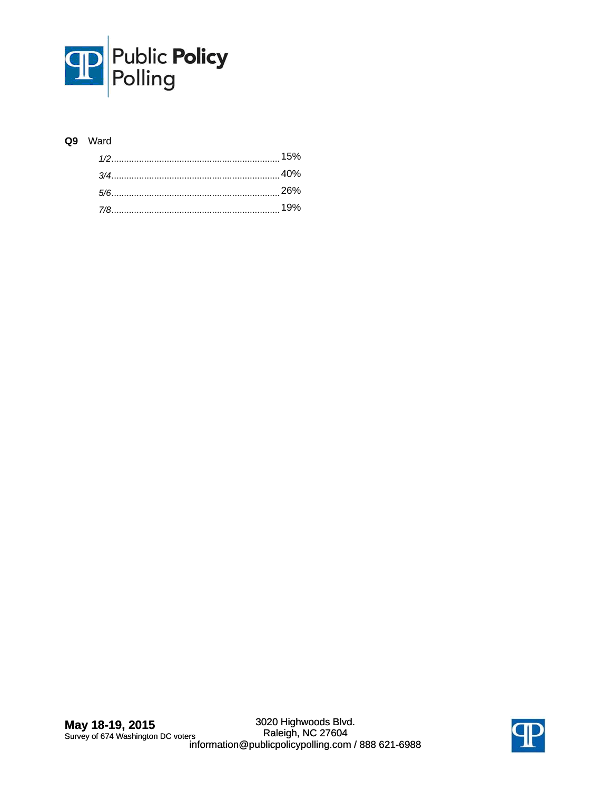

## **Q9** Ward

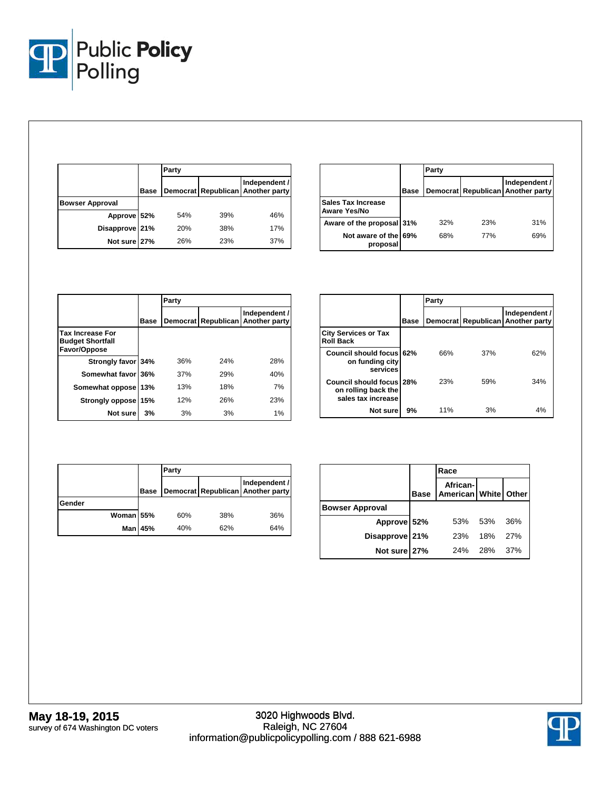

|                        |             | Party |     |                                                    |
|------------------------|-------------|-------|-----|----------------------------------------------------|
|                        | <b>Base</b> |       |     | Independent /<br>Democrat Republican Another party |
| <b>Bowser Approval</b> |             |       |     |                                                    |
| Approve 52%            |             | 54%   | 39% | 46%                                                |
| Disapprove 21%         |             | 20%   | 38% | 17%                                                |
| Not sure 27%           |             | 26%   | 23% | 37%                                                |

|                                           |      | Party |     |                                                    |
|-------------------------------------------|------|-------|-----|----------------------------------------------------|
|                                           | Base |       |     | Independent /<br>Democrat Republican Another party |
| <b>Sales Tax Increase</b><br>Aware Yes/No |      |       |     |                                                    |
| Aware of the proposal 31%                 |      | 32%   | 23% | 31%                                                |
| Not aware of the 69%<br>proposal          |      | 68%   | 77% | 69%                                                |

|                                                                    |      | Party    |            |                                |  |
|--------------------------------------------------------------------|------|----------|------------|--------------------------------|--|
|                                                                    | Base | Democrat | Republican | Independent /<br>Another party |  |
| <b>Tax Increase For</b><br><b>Budget Shortfall</b><br>Favor/Oppose |      |          |            |                                |  |
| Strongly favor 34%                                                 |      | 36%      | 24%        | 28%                            |  |
| Somewhat favor 36%                                                 |      | 37%      | 29%        | 40%                            |  |
| Somewhat oppose                                                    | 13%  | 13%      | 18%        | 7%                             |  |
| Strongly oppose                                                    | 15%  | 12%      | 26%        | 23%                            |  |
| Not sure                                                           | 3%   | 3%       | 3%         | 1%                             |  |

|                                                                              |             | Party |     |                                                    |
|------------------------------------------------------------------------------|-------------|-------|-----|----------------------------------------------------|
|                                                                              | <b>Base</b> |       |     | Independent /<br>Democrat Republican Another party |
| <b>City Services or Tax</b><br><b>Roll Back</b>                              |             |       |     |                                                    |
| Council should focus 62%<br>on funding city<br>services                      |             | 66%   | 37% | 62%                                                |
| <b>Council should focus 28%</b><br>on rolling back the<br>sales tax increase |             | 23%   | 59% | 34%                                                |
| Not sure                                                                     | 9%          | 11%   | 3%  | 4%                                                 |

|           |             | Party |     |                                                    |  |
|-----------|-------------|-------|-----|----------------------------------------------------|--|
|           | <b>Base</b> |       |     | Independent /<br>Democrat Republican Another party |  |
| Gender    |             |       |     |                                                    |  |
| Woman 55% |             | 60%   | 38% | 36%                                                |  |
|           | Man 45%     | 40%   | 62% | 64%                                                |  |

|                        |             | Race                             |     |     |
|------------------------|-------------|----------------------------------|-----|-----|
|                        | <b>Base</b> | African-<br>American White Other |     |     |
| <b>Bowser Approval</b> |             |                                  |     |     |
| Approve 52%            |             | 53%                              | 53% | 36% |
| Disapprove 21%         |             | 23%                              | 18% | 27% |
| Not sure 27%           |             | 24%                              | 28% | 37% |

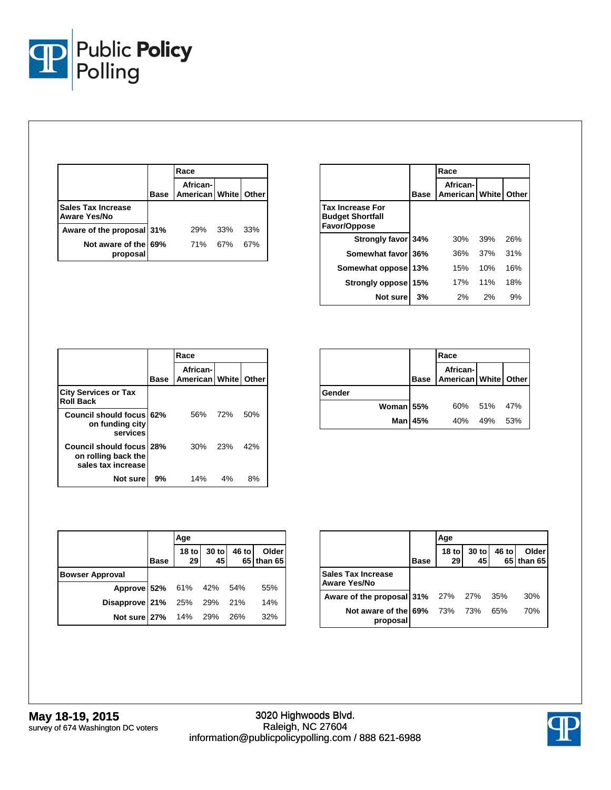

|                                                  |             | Race                             |     |     |
|--------------------------------------------------|-------------|----------------------------------|-----|-----|
|                                                  | <b>Base</b> | African-<br>American White Other |     |     |
| <b>Sales Tax Increase</b><br><b>Aware Yes/No</b> |             |                                  |     |     |
| Aware of the proposal 31%                        |             | <b>29%</b>                       | 33% | 33% |
| Not aware of the 69%<br>proposal                 |             | 71% 67%                          |     | 67% |

|                                                                    |      | Race                                  |     |       |
|--------------------------------------------------------------------|------|---------------------------------------|-----|-------|
|                                                                    | Base | African-<br><b>American   White  </b> |     | Other |
| <b>Tax Increase For</b><br><b>Budget Shortfall</b><br>Favor/Oppose |      |                                       |     |       |
| Strongly favor 34%                                                 |      | 30%                                   | 39% | 26%   |
| Somewhat favor 36%                                                 |      | 36%                                   | 37% | 31%   |
| Somewhat oppose 13%                                                |      | 15%                                   | 10% | 16%   |
| <b>Strongly oppose</b>                                             | 15%  | 17%                                   | 11% | 18%   |
| Not sure                                                           | 3%   | 2%                                    | 2%  | 9%    |

|                                                                       |      | Race                                        |       |     |  |
|-----------------------------------------------------------------------|------|---------------------------------------------|-------|-----|--|
|                                                                       | Base | African-<br><b>American   White   Other</b> |       |     |  |
| <b>City Services or Tax</b><br><b>Roll Back</b>                       |      |                                             |       |     |  |
| Council should focus 62%<br>on funding city<br>services               |      | 56%                                         | 72%   | 50% |  |
| Council should focus 28%<br>on rolling back the<br>sales tax increase |      | 30%                                         | 23%   | 42% |  |
| Not sure                                                              | 9%   | 14%                                         | $4\%$ | 8%  |  |

|           |                | Race                             |             |  |
|-----------|----------------|----------------------------------|-------------|--|
|           | <b>Base</b>    | African-<br>American White Other |             |  |
| Gender    |                |                                  |             |  |
| Woman 55% |                |                                  | 60% 51% 47% |  |
|           | <b>Man 45%</b> | 40%                              | 49% 53%     |  |

|                            |             | Age           |                            |       |                     |  |  |
|----------------------------|-------------|---------------|----------------------------|-------|---------------------|--|--|
|                            | <b>Base</b> | $18$ to<br>29 | $\frac{30 \text{ to}}{45}$ | 46 to | Older<br>65 than 65 |  |  |
| <b>Bowser Approval</b>     |             |               |                            |       |                     |  |  |
| Approve 52% 61% 42% 54%    |             |               |                            |       | 55%                 |  |  |
| Disapprove 21% 25% 29% 21% |             |               |                            |       | 14%                 |  |  |
| Not sure 27% 14% 29% 26%   |             |               |                            |       | 32%                 |  |  |

|                                                  |             | Age           |             |       |                     |
|--------------------------------------------------|-------------|---------------|-------------|-------|---------------------|
|                                                  | <b>Base</b> | $18$ to<br>29 | 30 to<br>45 | 46 to | Older<br>65 than 65 |
| <b>Sales Tax Increase</b><br><b>Aware Yes/No</b> |             |               |             |       |                     |
| Aware of the proposal 31% 27% 27% 35%            |             |               |             |       | 30%                 |
| Not aware of the 69% 73%<br>proposal             |             |               | 73%         | 65%   | 70%                 |

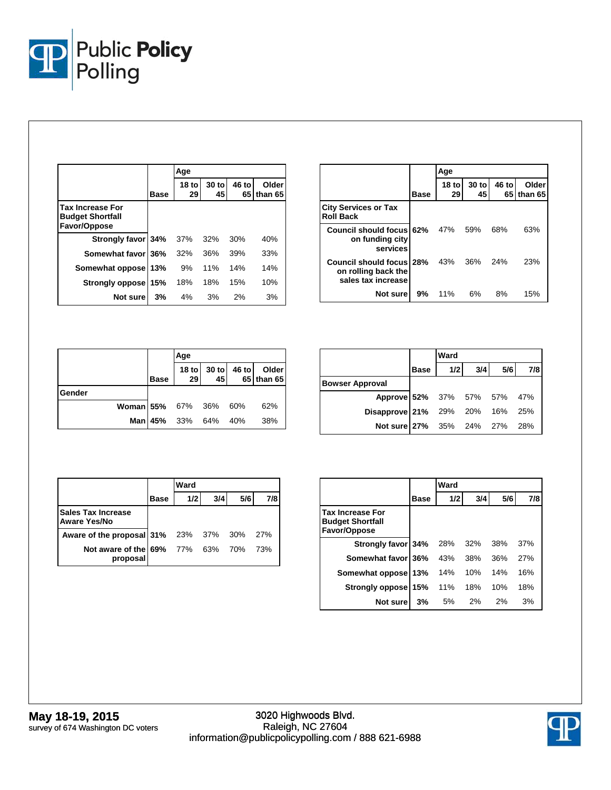

|                                                                    |             | Age                    |             |             |                  |  |
|--------------------------------------------------------------------|-------------|------------------------|-------------|-------------|------------------|--|
|                                                                    | <b>Base</b> | 18 <sub>to</sub><br>29 | 30 to<br>45 | 46 to<br>65 | Older<br>than 65 |  |
| <b>Tax Increase For</b><br><b>Budget Shortfall</b><br>Favor/Oppose |             |                        |             |             |                  |  |
| Strongly favor 34%                                                 |             | 37%                    | 32%         | 30%         | 40%              |  |
| Somewhat favor 36%                                                 |             | 32%                    | 36%         | 39%         | 33%              |  |
| Somewhat oppose                                                    | 13%         | 9%                     | 11%         | 14%         | 14%              |  |
| <b>Strongly oppose</b>                                             | 15%         | 18%                    | 18%         | 15%         | 10%              |  |
| Not sure                                                           | 3%          | 4%                     | 3%          | 2%          | 3%               |  |

|                                                                       |             | Age                    |                        |            |                     |
|-----------------------------------------------------------------------|-------------|------------------------|------------------------|------------|---------------------|
|                                                                       | <b>Base</b> | 18 <sub>to</sub><br>29 | 30 <sub>to</sub><br>45 | 46 to      | Older<br>65 than 65 |
| <b>City Services or Tax</b><br><b>Roll Back</b>                       |             |                        |                        |            |                     |
| Council should focus 62%<br>on funding city<br>services               |             | 47%                    | 59%                    | 68%        | 63%                 |
| Council should focus 28%<br>on rolling back the<br>sales tax increase |             | 43%                    | - 36%                  | <b>24%</b> | 23%                 |
| Not sure                                                              | 9%          | 11%                    | 6%                     | 8%         | 15%                 |

|                       |             | Age                 |                   |  |                           |  |
|-----------------------|-------------|---------------------|-------------------|--|---------------------------|--|
|                       | <b>Base</b> | 29                  | 18 to 30 to<br>45 |  | 46 to Older<br>65 than 65 |  |
| Gender                |             |                     |                   |  |                           |  |
| Woman 55% 67% 36% 60% |             |                     |                   |  | 62%                       |  |
|                       |             | Man 45% 33% 64% 40% |                   |  | 38%                       |  |

|                                                                                               |      | Ward |     |     |     |  |
|-----------------------------------------------------------------------------------------------|------|------|-----|-----|-----|--|
|                                                                                               | Base | 1/2  | 3/4 | 5/6 | 7/8 |  |
| <b>Bowser Approval</b>                                                                        |      |      |     |     |     |  |
|                                                                                               |      |      |     |     |     |  |
|                                                                                               |      |      |     |     |     |  |
| Approve 52% 37% 57% 57% 47%<br>Disapprove 21% 29% 20% 16% 25%<br>Not sure 27% 35% 24% 27% 28% |      |      |     |     |     |  |

|                                                  |             | Ward |     |     |     |
|--------------------------------------------------|-------------|------|-----|-----|-----|
|                                                  | <b>Base</b> | 1/2  | 3/4 | 5/6 | 7/8 |
| <b>Sales Tax Increase</b><br><b>Aware Yes/No</b> |             |      |     |     |     |
| Aware of the proposal 31% 23% 37% 30%            |             |      |     |     | 27% |
| Not aware of the 69% 77% 63% 70%<br>proposal     |             |      |     |     | 73% |

|                                                                    |             | Ward |     |     |     |
|--------------------------------------------------------------------|-------------|------|-----|-----|-----|
|                                                                    | <b>Base</b> | 1/2  | 3/4 | 5/6 | 7/8 |
| <b>Tax Increase For</b><br><b>Budget Shortfall</b><br>Favor/Oppose |             |      |     |     |     |
| Strongly favor 34%                                                 |             | 28%  | 32% | 38% | 37% |
| Somewhat favor 36%                                                 |             | 43%  | 38% | 36% | 27% |
| Somewhat oppose                                                    | 13%         | 14%  | 10% | 14% | 16% |
| Strongly oppose                                                    | 15%         | 11%  | 18% | 10% | 18% |
| Not sure                                                           | 3%          | 5%   | 2%  | 2%  | 3%  |